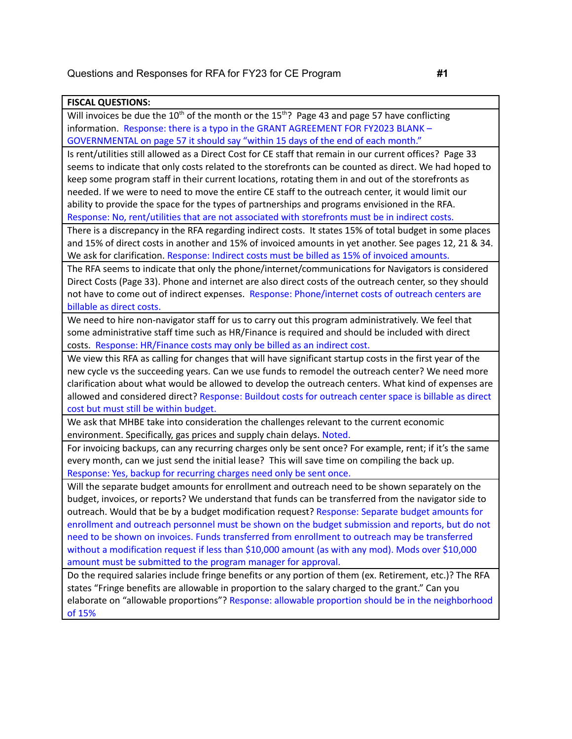## **FISCAL QUESTIONS:**

Will invoices be due the 10<sup>th</sup> of the month or the 15<sup>th</sup>? Page 43 and page 57 have conflicting information. Response: there is a typo in the GRANT AGREEMENT FOR FY2023 BLANK – GOVERNMENTAL on page 57 it should say "within 15 days of the end of each month."

Is rent/utilities still allowed as a Direct Cost for CE staff that remain in our current offices? Page 33 seems to indicate that only costs related to the storefronts can be counted as direct. We had hoped to keep some program staff in their current locations, rotating them in and out of the storefronts as needed. If we were to need to move the entire CE staff to the outreach center, it would limit our ability to provide the space for the types of partnerships and programs envisioned in the RFA. Response: No, rent/utilities that are not associated with storefronts must be in indirect costs.

There is a discrepancy in the RFA regarding indirect costs. It states 15% of total budget in some places and 15% of direct costs in another and 15% of invoiced amounts in yet another. See pages 12, 21 & 34. We ask for clarification. Response: Indirect costs must be billed as 15% of invoiced amounts.

The RFA seems to indicate that only the phone/internet/communications for Navigators is considered Direct Costs (Page 33). Phone and internet are also direct costs of the outreach center, so they should not have to come out of indirect expenses. Response: Phone/internet costs of outreach centers are billable as direct costs.

We need to hire non-navigator staff for us to carry out this program administratively. We feel that some administrative staff time such as HR/Finance is required and should be included with direct costs. Response: HR/Finance costs may only be billed as an indirect cost.

We view this RFA as calling for changes that will have significant startup costs in the first year of the new cycle vs the succeeding years. Can we use funds to remodel the outreach center? We need more clarification about what would be allowed to develop the outreach centers. What kind of expenses are allowed and considered direct? Response: Buildout costs for outreach center space is billable as direct cost but must still be within budget.

We ask that MHBE take into consideration the challenges relevant to the current economic environment. Specifically, gas prices and supply chain delays. Noted.

For invoicing backups, can any recurring charges only be sent once? For example, rent; if it's the same every month, can we just send the initial lease? This will save time on compiling the back up. Response: Yes, backup for recurring charges need only be sent once.

Will the separate budget amounts for enrollment and outreach need to be shown separately on the budget, invoices, or reports? We understand that funds can be transferred from the navigator side to outreach. Would that be by a budget modification request? Response: Separate budget amounts for enrollment and outreach personnel must be shown on the budget submission and reports, but do not need to be shown on invoices. Funds transferred from enrollment to outreach may be transferred without a modification request if less than \$10,000 amount (as with any mod). Mods over \$10,000 amount must be submitted to the program manager for approval.

Do the required salaries include fringe benefits or any portion of them (ex. Retirement, etc.)? The RFA states "Fringe benefits are allowable in proportion to the salary charged to the grant." Can you elaborate on "allowable proportions"? Response: allowable proportion should be in the neighborhood of 15%